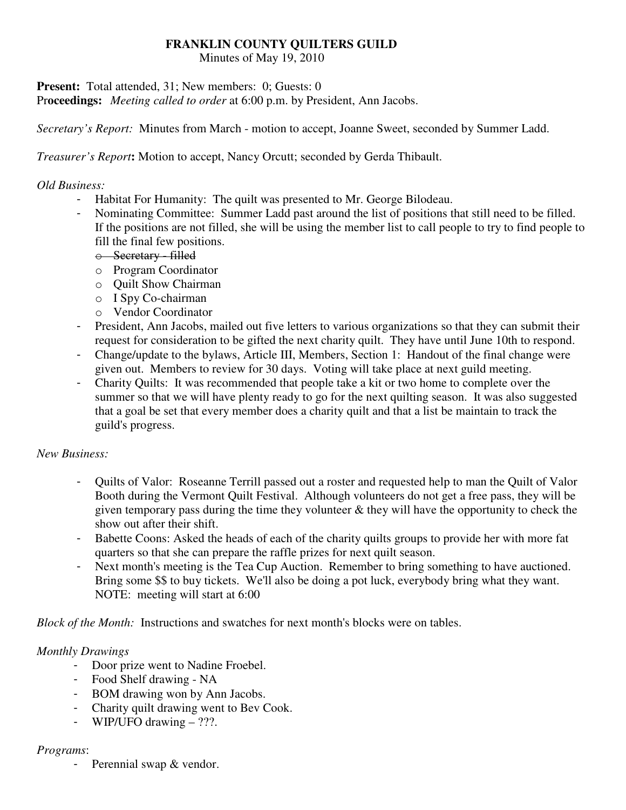### **FRANKLIN COUNTY QUILTERS GUILD**

Minutes of May 19, 2010

**Present:** Total attended, 31; New members: 0; Guests: 0

Pr**oceedings:** *Meeting called to order* at 6:00 p.m. by President, Ann Jacobs.

*Secretary's Report:* Minutes from March - motion to accept, Joanne Sweet, seconded by Summer Ladd.

*Treasurer's Report***:** Motion to accept, Nancy Orcutt; seconded by Gerda Thibault.

### *Old Business:*

- Habitat For Humanity: The quilt was presented to Mr. George Bilodeau.
- Nominating Committee: Summer Ladd past around the list of positions that still need to be filled. If the positions are not filled, she will be using the member list to call people to try to find people to fill the final few positions.
	- o Secretary filled
	- o Program Coordinator
	- o Quilt Show Chairman
	- o I Spy Co-chairman
	- o Vendor Coordinator
- President, Ann Jacobs, mailed out five letters to various organizations so that they can submit their request for consideration to be gifted the next charity quilt. They have until June 10th to respond.
- Change/update to the bylaws, Article III, Members, Section 1: Handout of the final change were given out. Members to review for 30 days. Voting will take place at next guild meeting.
- Charity Quilts: It was recommended that people take a kit or two home to complete over the summer so that we will have plenty ready to go for the next quilting season. It was also suggested that a goal be set that every member does a charity quilt and that a list be maintain to track the guild's progress.

# *New Business:*

- Quilts of Valor: Roseanne Terrill passed out a roster and requested help to man the Quilt of Valor Booth during the Vermont Quilt Festival. Although volunteers do not get a free pass, they will be given temporary pass during the time they volunteer  $\&$  they will have the opportunity to check the show out after their shift.
- Babette Coons: Asked the heads of each of the charity quilts groups to provide her with more fat quarters so that she can prepare the raffle prizes for next quilt season.
- Next month's meeting is the Tea Cup Auction. Remember to bring something to have auctioned. Bring some \$\$ to buy tickets. We'll also be doing a pot luck, everybody bring what they want. NOTE: meeting will start at 6:00

*Block of the Month:* Instructions and swatches for next month's blocks were on tables.

# *Monthly Drawings*

- Door prize went to Nadine Froebel.
- Food Shelf drawing NA
- BOM drawing won by Ann Jacobs.
- Charity quilt drawing went to Bev Cook.
- WIP/UFO drawing ???.

#### *Programs*:

- Perennial swap & vendor.